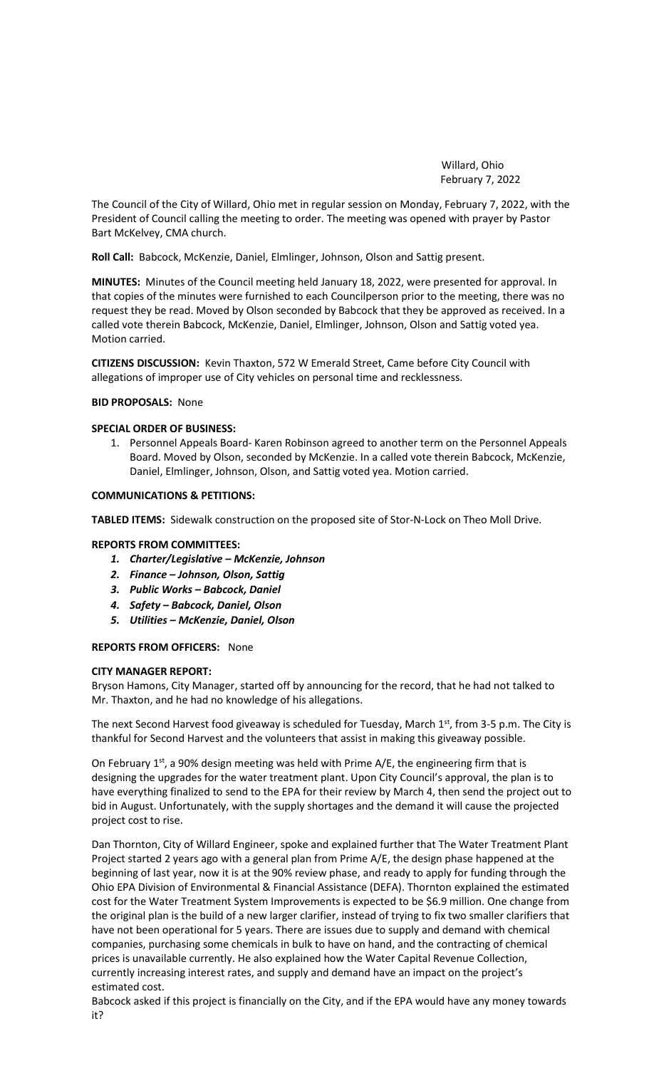Willard, Ohio February 7, 2022

The Council of the City of Willard, Ohio met in regular session on Monday, February 7, 2022, with the President of Council calling the meeting to order. The meeting was opened with prayer by Pastor Bart McKelvey, CMA church.

**Roll Call:** Babcock, McKenzie, Daniel, Elmlinger, Johnson, Olson and Sattig present.

**MINUTES:** Minutes of the Council meeting held January 18, 2022, were presented for approval. In that copies of the minutes were furnished to each Councilperson prior to the meeting, there was no request they be read. Moved by Olson seconded by Babcock that they be approved as received. In a called vote therein Babcock, McKenzie, Daniel, Elmlinger, Johnson, Olson and Sattig voted yea. Motion carried.

**CITIZENS DISCUSSION:** Kevin Thaxton, 572 W Emerald Street, Came before City Council with allegations of improper use of City vehicles on personal time and recklessness.

### **BID PROPOSALS:** None

## **SPECIAL ORDER OF BUSINESS:**

1. Personnel Appeals Board- Karen Robinson agreed to another term on the Personnel Appeals Board. Moved by Olson, seconded by McKenzie. In a called vote therein Babcock, McKenzie, Daniel, Elmlinger, Johnson, Olson, and Sattig voted yea. Motion carried.

## **COMMUNICATIONS & PETITIONS:**

**TABLED ITEMS:** Sidewalk construction on the proposed site of Stor-N-Lock on Theo Moll Drive.

#### **REPORTS FROM COMMITTEES:**

- *1. Charter/Legislative – McKenzie, Johnson*
- *2. Finance – Johnson, Olson, Sattig*
- *3. Public Works – Babcock, Daniel*
- *4. Safety – Babcock, Daniel, Olson*
- *5. Utilities – McKenzie, Daniel, Olson*

#### **REPORTS FROM OFFICERS:** None

# **CITY MANAGER REPORT:**

Bryson Hamons, City Manager, started off by announcing for the record, that he had not talked to Mr. Thaxton, and he had no knowledge of his allegations.

The next Second Harvest food giveaway is scheduled for Tuesday, March 1st, from 3-5 p.m. The City is thankful for Second Harvest and the volunteers that assist in making this giveaway possible.

On February  $1<sup>st</sup>$ , a 90% design meeting was held with Prime A/E, the engineering firm that is designing the upgrades for the water treatment plant. Upon City Council's approval, the plan is to have everything finalized to send to the EPA for their review by March 4, then send the project out to bid in August. Unfortunately, with the supply shortages and the demand it will cause the projected project cost to rise.

Dan Thornton, City of Willard Engineer, spoke and explained further that The Water Treatment Plant Project started 2 years ago with a general plan from Prime A/E, the design phase happened at the beginning of last year, now it is at the 90% review phase, and ready to apply for funding through the Ohio EPA Division of Environmental & Financial Assistance (DEFA). Thornton explained the estimated cost for the Water Treatment System Improvements is expected to be \$6.9 million. One change from the original plan is the build of a new larger clarifier, instead of trying to fix two smaller clarifiers that have not been operational for 5 years. There are issues due to supply and demand with chemical companies, purchasing some chemicals in bulk to have on hand, and the contracting of chemical prices is unavailable currently. He also explained how the Water Capital Revenue Collection, currently increasing interest rates, and supply and demand have an impact on the project's estimated cost.

Babcock asked if this project is financially on the City, and if the EPA would have any money towards it?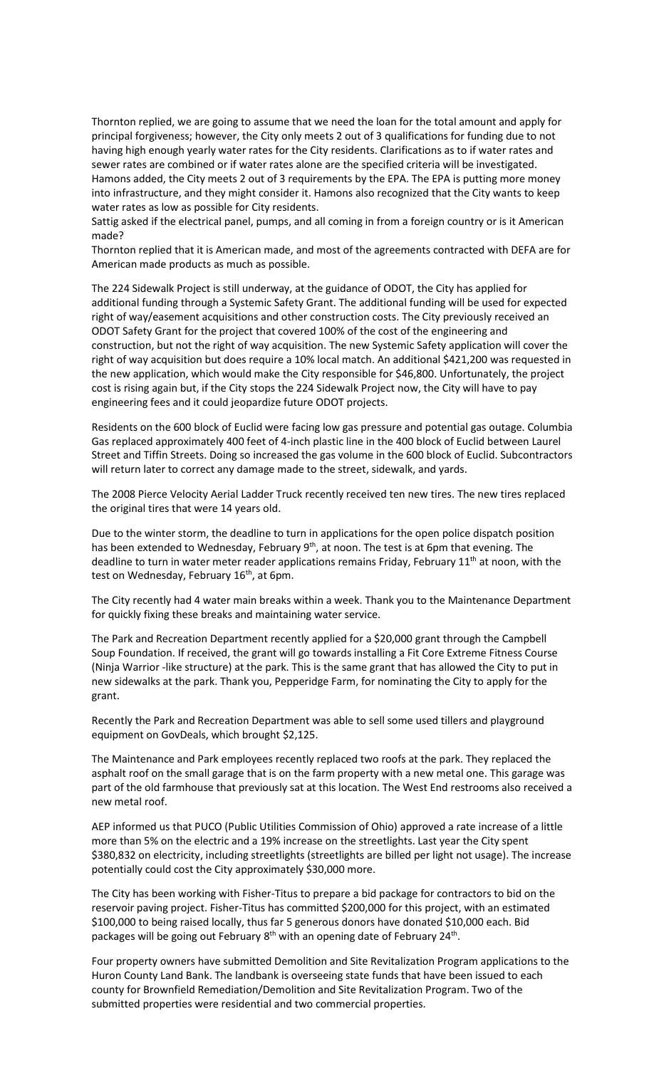Thornton replied, we are going to assume that we need the loan for the total amount and apply for principal forgiveness; however, the City only meets 2 out of 3 qualifications for funding due to not having high enough yearly water rates for the City residents. Clarifications as to if water rates and sewer rates are combined or if water rates alone are the specified criteria will be investigated. Hamons added, the City meets 2 out of 3 requirements by the EPA. The EPA is putting more money into infrastructure, and they might consider it. Hamons also recognized that the City wants to keep water rates as low as possible for City residents.

Sattig asked if the electrical panel, pumps, and all coming in from a foreign country or is it American made?

Thornton replied that it is American made, and most of the agreements contracted with DEFA are for American made products as much as possible.

The 224 Sidewalk Project is still underway, at the guidance of ODOT, the City has applied for additional funding through a Systemic Safety Grant. The additional funding will be used for expected right of way/easement acquisitions and other construction costs. The City previously received an ODOT Safety Grant for the project that covered 100% of the cost of the engineering and construction, but not the right of way acquisition. The new Systemic Safety application will cover the right of way acquisition but does require a 10% local match. An additional \$421,200 was requested in the new application, which would make the City responsible for \$46,800. Unfortunately, the project cost is rising again but, if the City stops the 224 Sidewalk Project now, the City will have to pay engineering fees and it could jeopardize future ODOT projects.

Residents on the 600 block of Euclid were facing low gas pressure and potential gas outage. Columbia Gas replaced approximately 400 feet of 4-inch plastic line in the 400 block of Euclid between Laurel Street and Tiffin Streets. Doing so increased the gas volume in the 600 block of Euclid. Subcontractors will return later to correct any damage made to the street, sidewalk, and yards.

The 2008 Pierce Velocity Aerial Ladder Truck recently received ten new tires. The new tires replaced the original tires that were 14 years old.

Due to the winter storm, the deadline to turn in applications for the open police dispatch position has been extended to Wednesday, February 9<sup>th</sup>, at noon. The test is at 6pm that evening. The deadline to turn in water meter reader applications remains Friday, February 11<sup>th</sup> at noon, with the test on Wednesday, February 16<sup>th</sup>, at 6pm.

The City recently had 4 water main breaks within a week. Thank you to the Maintenance Department for quickly fixing these breaks and maintaining water service.

The Park and Recreation Department recently applied for a \$20,000 grant through the Campbell Soup Foundation. If received, the grant will go towards installing a Fit Core Extreme Fitness Course (Ninja Warrior -like structure) at the park. This is the same grant that has allowed the City to put in new sidewalks at the park. Thank you, Pepperidge Farm, for nominating the City to apply for the grant.

Recently the Park and Recreation Department was able to sell some used tillers and playground equipment on GovDeals, which brought \$2,125.

The Maintenance and Park employees recently replaced two roofs at the park. They replaced the asphalt roof on the small garage that is on the farm property with a new metal one. This garage was part of the old farmhouse that previously sat at this location. The West End restrooms also received a new metal roof.

AEP informed us that PUCO (Public Utilities Commission of Ohio) approved a rate increase of a little more than 5% on the electric and a 19% increase on the streetlights. Last year the City spent \$380,832 on electricity, including streetlights (streetlights are billed per light not usage). The increase potentially could cost the City approximately \$30,000 more.

The City has been working with Fisher-Titus to prepare a bid package for contractors to bid on the reservoir paving project. Fisher-Titus has committed \$200,000 for this project, with an estimated \$100,000 to being raised locally, thus far 5 generous donors have donated \$10,000 each. Bid packages will be going out February 8<sup>th</sup> with an opening date of February 24<sup>th</sup>.

Four property owners have submitted Demolition and Site Revitalization Program applications to the Huron County Land Bank. The landbank is overseeing state funds that have been issued to each county for Brownfield Remediation/Demolition and Site Revitalization Program. Two of the submitted properties were residential and two commercial properties.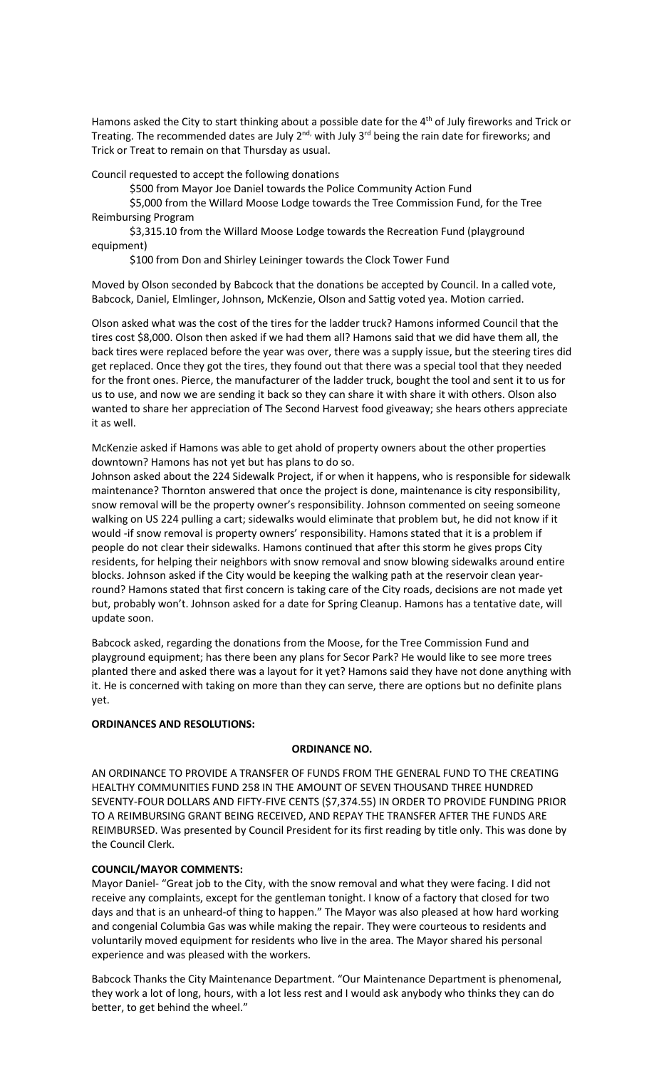Hamons asked the City to start thinking about a possible date for the 4<sup>th</sup> of July fireworks and Trick or Treating. The recommended dates are July 2<sup>nd,</sup> with July 3<sup>rd</sup> being the rain date for fireworks; and Trick or Treat to remain on that Thursday as usual.

Council requested to accept the following donations

\$500 from Mayor Joe Daniel towards the Police Community Action Fund

\$5,000 from the Willard Moose Lodge towards the Tree Commission Fund, for the Tree Reimbursing Program

\$3,315.10 from the Willard Moose Lodge towards the Recreation Fund (playground equipment)

\$100 from Don and Shirley Leininger towards the Clock Tower Fund

Moved by Olson seconded by Babcock that the donations be accepted by Council. In a called vote, Babcock, Daniel, Elmlinger, Johnson, McKenzie, Olson and Sattig voted yea. Motion carried.

Olson asked what was the cost of the tires for the ladder truck? Hamons informed Council that the tires cost \$8,000. Olson then asked if we had them all? Hamons said that we did have them all, the back tires were replaced before the year was over, there was a supply issue, but the steering tires did get replaced. Once they got the tires, they found out that there was a special tool that they needed for the front ones. Pierce, the manufacturer of the ladder truck, bought the tool and sent it to us for us to use, and now we are sending it back so they can share it with share it with others. Olson also wanted to share her appreciation of The Second Harvest food giveaway; she hears others appreciate it as well.

McKenzie asked if Hamons was able to get ahold of property owners about the other properties downtown? Hamons has not yet but has plans to do so.

Johnson asked about the 224 Sidewalk Project, if or when it happens, who is responsible for sidewalk maintenance? Thornton answered that once the project is done, maintenance is city responsibility, snow removal will be the property owner's responsibility. Johnson commented on seeing someone walking on US 224 pulling a cart; sidewalks would eliminate that problem but, he did not know if it would -if snow removal is property owners' responsibility. Hamons stated that it is a problem if people do not clear their sidewalks. Hamons continued that after this storm he gives props City residents, for helping their neighbors with snow removal and snow blowing sidewalks around entire blocks. Johnson asked if the City would be keeping the walking path at the reservoir clean yearround? Hamons stated that first concern is taking care of the City roads, decisions are not made yet but, probably won't. Johnson asked for a date for Spring Cleanup. Hamons has a tentative date, will update soon.

Babcock asked, regarding the donations from the Moose, for the Tree Commission Fund and playground equipment; has there been any plans for Secor Park? He would like to see more trees planted there and asked there was a layout for it yet? Hamons said they have not done anything with it. He is concerned with taking on more than they can serve, there are options but no definite plans yet.

# **ORDINANCES AND RESOLUTIONS:**

#### **ORDINANCE NO.**

AN ORDINANCE TO PROVIDE A TRANSFER OF FUNDS FROM THE GENERAL FUND TO THE CREATING HEALTHY COMMUNITIES FUND 258 IN THE AMOUNT OF SEVEN THOUSAND THREE HUNDRED SEVENTY-FOUR DOLLARS AND FIFTY-FIVE CENTS (\$7,374.55) IN ORDER TO PROVIDE FUNDING PRIOR TO A REIMBURSING GRANT BEING RECEIVED, AND REPAY THE TRANSFER AFTER THE FUNDS ARE REIMBURSED. Was presented by Council President for its first reading by title only. This was done by the Council Clerk.

## **COUNCIL/MAYOR COMMENTS:**

Mayor Daniel- "Great job to the City, with the snow removal and what they were facing. I did not receive any complaints, except for the gentleman tonight. I know of a factory that closed for two days and that is an unheard-of thing to happen." The Mayor was also pleased at how hard working and congenial Columbia Gas was while making the repair. They were courteous to residents and voluntarily moved equipment for residents who live in the area. The Mayor shared his personal experience and was pleased with the workers.

Babcock Thanks the City Maintenance Department. "Our Maintenance Department is phenomenal, they work a lot of long, hours, with a lot less rest and I would ask anybody who thinks they can do better, to get behind the wheel."